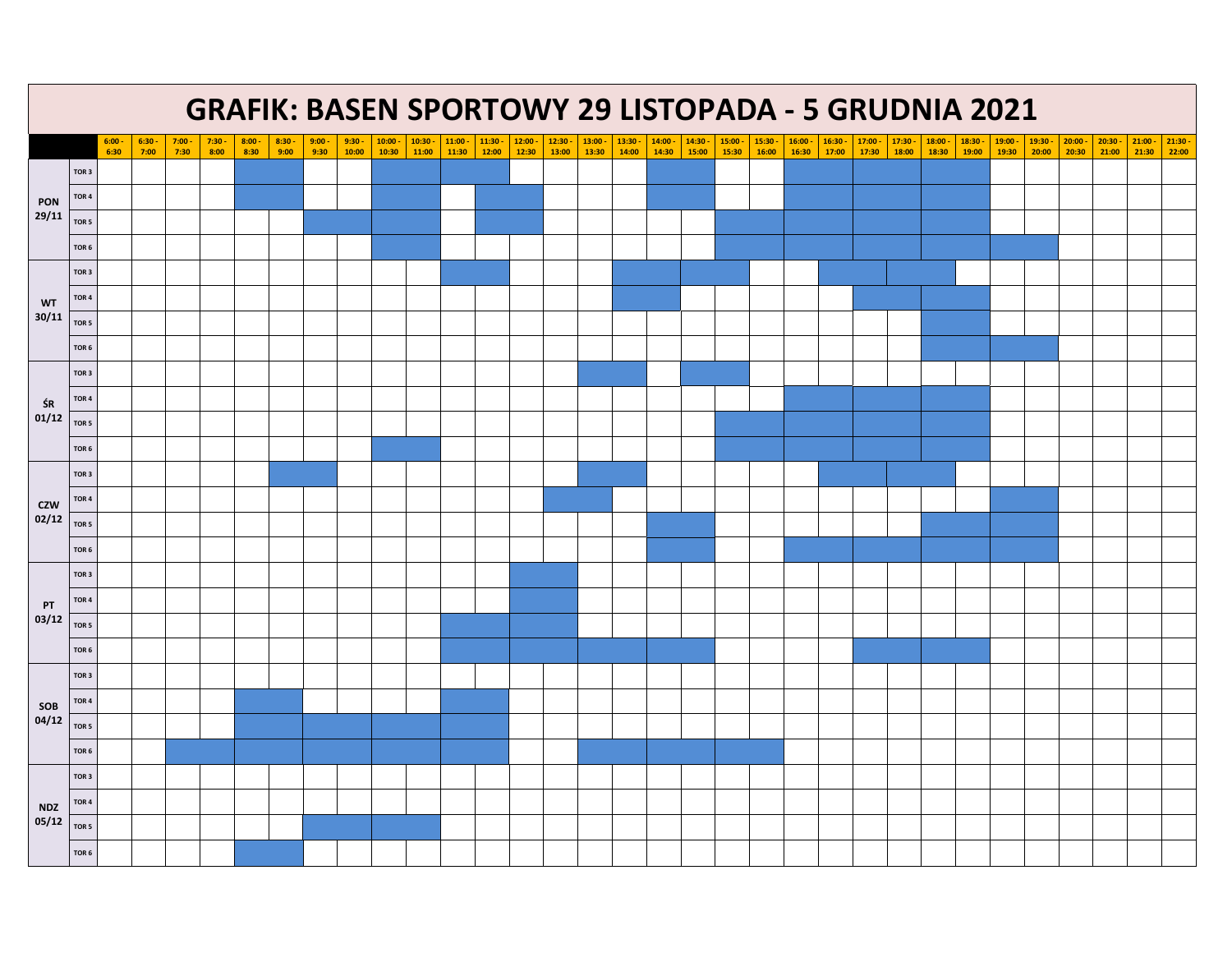